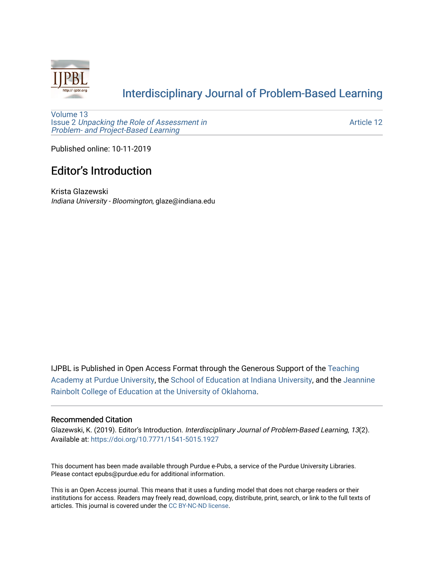

### [Interdisciplinary Journal of Problem-Based Learning](https://docs.lib.purdue.edu/ijpbl)

[Volume 13](https://docs.lib.purdue.edu/ijpbl/vol13) Issue 2 [Unpacking the Role of Assessment in](https://docs.lib.purdue.edu/ijpbl/vol13/iss2)  [Problem- and Project-Based Learning](https://docs.lib.purdue.edu/ijpbl/vol13/iss2)

[Article 12](https://docs.lib.purdue.edu/ijpbl/vol13/iss2/12) 

Published online: 10-11-2019

### **Editor's Introduction**

Krista Glazewski Indiana University - Bloomington, glaze@indiana.edu

IJPBL is Published in Open Access Format through the Generous Support of the [Teaching](https://www.purdue.edu/cie/aboutus/teachingacademy.html) [Academy at Purdue University](https://www.purdue.edu/cie/aboutus/teachingacademy.html), the [School of Education at Indiana University,](https://education.indiana.edu/index.html) and the [Jeannine](http://ou.edu/education) [Rainbolt College of Education at the University of Oklahoma](http://ou.edu/education).

#### Recommended Citation

Glazewski, K. (2019). Editor's Introduction. Interdisciplinary Journal of Problem-Based Learning, 13(2). Available at:<https://doi.org/10.7771/1541-5015.1927>

This document has been made available through Purdue e-Pubs, a service of the Purdue University Libraries. Please contact epubs@purdue.edu for additional information.

This is an Open Access journal. This means that it uses a funding model that does not charge readers or their institutions for access. Readers may freely read, download, copy, distribute, print, search, or link to the full texts of articles. This journal is covered under the [CC BY-NC-ND license](https://creativecommons.org/licenses/by-nc-nd/4.0/).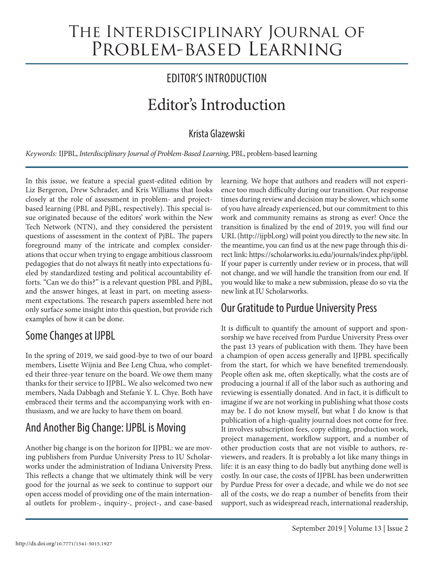# The Interdisciplinary Journal of PROBLEM-BASED LEARNING

# EDITOR'S INTRODUCTION

# Editor's Introduction

#### Krista Glazewski

*Keywords:* IJPBL, *Interdisciplinary Journal of Problem-Based Learning*, PBL, problem-based learning

In this issue, we feature a special guest-edited edition by Liz Bergeron, Drew Schrader, and Kris Williams that looks closely at the role of assessment in problem- and projectbased learning (PBL and PjBL, respectively). This special issue originated because of the editors' work within the New Tech Network (NTN), and they considered the persistent questions of assessment in the context of PjBL. The papers foreground many of the intricate and complex considerations that occur when trying to engage ambitious classroom pedagogies that do not always fit neatly into expectations fueled by standardized testing and political accountability efforts. "Can we do this?" is a relevant question PBL and PjBL, and the answer hinges, at least in part, on meeting assessment expectations. The research papers assembled here not only surface some insight into this question, but provide rich examples of how it can be done.

## Some Changes at IJPBL

In the spring of 2019, we said good-bye to two of our board members, Lisette Wijnia and Bee Leng Chua, who completed their three-year tenure on the board. We owe them many thanks for their service to IJPBL. We also welcomed two new members, Nada Dabbagh and Stefanie Y. L. Chye. Both have embraced their terms and the accompanying work with enthusiasm, and we are lucky to have them on board.

# And Another Big Change: IJPBL is Moving

Another big change is on the horizon for IJPBL: we are moving publishers from Purdue University Press to IU Scholarworks under the administration of Indiana University Press. This reflects a change that we ultimately think will be very good for the journal as we seek to continue to support our open access model of providing one of the main international outlets for problem-, inquiry-, project-, and case-based

learning. We hope that authors and readers will not experience too much difficulty during our transition. Our response times during review and decision may be slower, which some of you have already experienced, but our commitment to this work and community remains as strong as ever! Once the transition is finalized by the end of 2019, you will find our URL (http://ijpbl.org) will point you directly to the new site. In the meantime, you can find us at the new page through this direct link: https://scholarworks.iu.edu/journals/index.php/ijpbl. If your paper is currently under review or in process, that will not change, and we will handle the transition from our end. If you would like to make a new submission, please do so via the new link at IU Scholarworks.

## Our Gratitude to Purdue University Press

It is difficult to quantify the amount of support and sponsorship we have received from Purdue University Press over the past 13 years of publication with them. They have been a champion of open access generally and IJPBL specifically from the start, for which we have benefited tremendously. People often ask me, often skeptically, what the costs are of producing a journal if all of the labor such as authoring and reviewing is essentially donated. And in fact, it is difficult to imagine if we are not working in publishing what those costs may be. I do not know myself, but what I do know is that publication of a high-quality journal does not come for free. It involves subscription fees, copy editing, production work, project management, workflow support, and a number of other production costs that are not visible to authors, reviewers, and readers. It is probably a lot like many things in life: it is an easy thing to do badly but anything done well is costly. In our case, the costs of IJPBL has been underwritten by Purdue Press for over a decade, and while we do not see all of the costs, we do reap a number of benefits from their support, such as widespread reach, international readership,